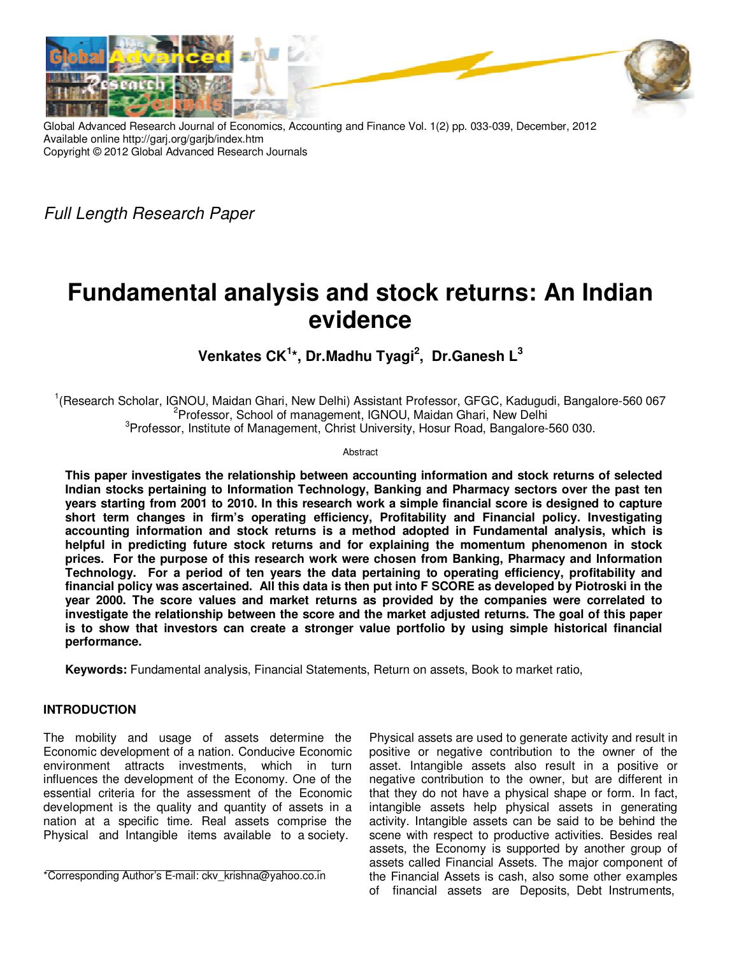

Global Advanced Research Journal of Economics, Accounting and Finance Vol. 1(2) pp. 033-039, December, 2012 Available online http://garj.org/garjb/index.htm Copyright © 2012 Global Advanced Research Journals

Full Length Research Paper

# **Fundamental analysis and stock returns: An Indian evidence**

# **Venkates CK<sup>1</sup> \*, Dr.Madhu Tyagi<sup>2</sup> , Dr.Ganesh L<sup>3</sup>**

<sup>1</sup>(Research Scholar, IGNOU, Maidan Ghari, New Delhi) Assistant Professor, GFGC, Kadugudi, Bangalore-560 067 <sup>2</sup>Professor, School of management, IGNOU, Maidan Ghari, New Delhi <sup>3</sup>Professor, Institute of Management, Christ University, Hosur Road, Bangalore-560 030.

Abstract

**This paper investigates the relationship between accounting information and stock returns of selected Indian stocks pertaining to Information Technology, Banking and Pharmacy sectors over the past ten years starting from 2001 to 2010. In this research work a simple financial score is designed to capture short term changes in firm's operating efficiency, Profitability and Financial policy. Investigating accounting information and stock returns is a method adopted in Fundamental analysis, which is helpful in predicting future stock returns and for explaining the momentum phenomenon in stock prices. For the purpose of this research work were chosen from Banking, Pharmacy and Information Technology. For a period of ten years the data pertaining to operating efficiency, profitability and financial policy was ascertained. All this data is then put into F SCORE as developed by Piotroski in the year 2000. The score values and market returns as provided by the companies were correlated to investigate the relationship between the score and the market adjusted returns. The goal of this paper is to show that investors can create a stronger value portfolio by using simple historical financial performance.** 

**Keywords:** Fundamental analysis, Financial Statements, Return on assets, Book to market ratio,

# **INTRODUCTION**

The mobility and usage of assets determine the Economic development of a nation. Conducive Economic environment attracts investments, which in turn influences the development of the Economy. One of the essential criteria for the assessment of the Economic development is the quality and quantity of assets in a nation at a specific time. Real assets comprise the Physical and Intangible items available to a society.

\*Corresponding Author's E-mail: ckv\_krishna@yahoo.co.in

Physical assets are used to generate activity and result in positive or negative contribution to the owner of the asset. Intangible assets also result in a positive or negative contribution to the owner, but are different in that they do not have a physical shape or form. In fact, intangible assets help physical assets in generating activity. Intangible assets can be said to be behind the scene with respect to productive activities. Besides real assets, the Economy is supported by another group of assets called Financial Assets. The major component of the Financial Assets is cash, also some other examples of financial assets are Deposits, Debt Instruments,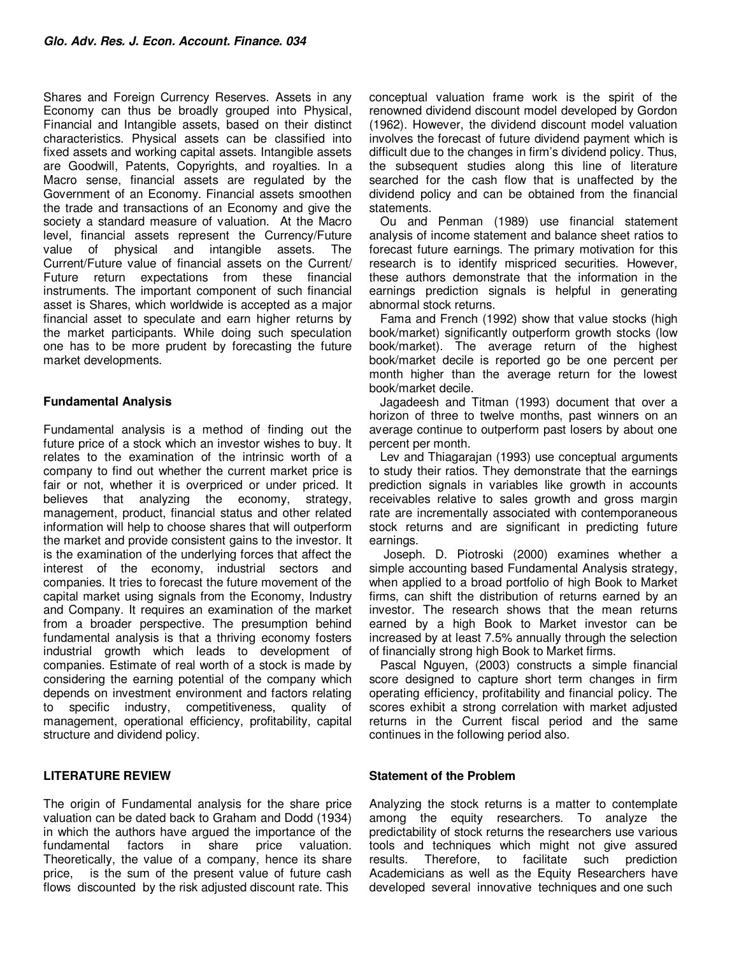Shares and Foreign Currency Reserves. Assets in any Economy can thus be broadly grouped into Physical, Financial and Intangible assets, based on their distinct characteristics. Physical assets can be classified into fixed assets and working capital assets. Intangible assets are Goodwill, Patents, Copyrights, and royalties. In a Macro sense, financial assets are regulated by the Government of an Economy. Financial assets smoothen the trade and transactions of an Economy and give the society a standard measure of valuation. At the Macro level, financial assets represent the Currency/Future value of physical and intangible assets. The Current/Future value of financial assets on the Current/ Future return expectations from these financial instruments. The important component of such financial asset is Shares, which worldwide is accepted as a major financial asset to speculate and earn higher returns by the market participants. While doing such speculation one has to be more prudent by forecasting the future market developments.

# **Fundamental Analysis**

Fundamental analysis is a method of finding out the future price of a stock which an investor wishes to buy. It relates to the examination of the intrinsic worth of a company to find out whether the current market price is fair or not, whether it is overpriced or under priced. It believes that analyzing the economy, strategy, management, product, financial status and other related information will help to choose shares that will outperform the market and provide consistent gains to the investor. It is the examination of the underlying forces that affect the interest of the economy, industrial sectors and companies. It tries to forecast the future movement of the capital market using signals from the Economy, Industry and Company. It requires an examination of the market from a broader perspective. The presumption behind fundamental analysis is that a thriving economy fosters industrial growth which leads to development of companies. Estimate of real worth of a stock is made by considering the earning potential of the company which depends on investment environment and factors relating to specific industry, competitiveness, quality of management, operational efficiency, profitability, capital structure and dividend policy.

# **LITERATURE REVIEW**

The origin of Fundamental analysis for the share price valuation can be dated back to Graham and Dodd (1934) in which the authors have argued the importance of the fundamental factors in share price valuation. Theoretically, the value of a company, hence its share price, is the sum of the present value of future cash flows discounted by the risk adjusted discount rate. This

conceptual valuation frame work is the spirit of the renowned dividend discount model developed by Gordon (1962). However, the dividend discount model valuation involves the forecast of future dividend payment which is difficult due to the changes in firm's dividend policy. Thus, the subsequent studies along this line of literature searched for the cash flow that is unaffected by the dividend policy and can be obtained from the financial statements.

Ou and Penman (1989) use financial statement analysis of income statement and balance sheet ratios to forecast future earnings. The primary motivation for this research is to identify mispriced securities. However, these authors demonstrate that the information in the earnings prediction signals is helpful in generating abnormal stock returns.

Fama and French (1992) show that value stocks (high book/market) significantly outperform growth stocks (low book/market). The average return of the highest book/market decile is reported go be one percent per month higher than the average return for the lowest book/market decile.

Jagadeesh and Titman (1993) document that over a horizon of three to twelve months, past winners on an average continue to outperform past losers by about one percent per month.

Lev and Thiagarajan (1993) use conceptual arguments to study their ratios. They demonstrate that the earnings prediction signals in variables like growth in accounts receivables relative to sales growth and gross margin rate are incrementally associated with contemporaneous stock returns and are significant in predicting future earnings.

 Joseph. D. Piotroski (2000) examines whether a simple accounting based Fundamental Analysis strategy, when applied to a broad portfolio of high Book to Market firms, can shift the distribution of returns earned by an investor. The research shows that the mean returns earned by a high Book to Market investor can be increased by at least 7.5% annually through the selection of financially strong high Book to Market firms.

Pascal Nguyen, (2003) constructs a simple financial score designed to capture short term changes in firm operating efficiency, profitability and financial policy. The scores exhibit a strong correlation with market adjusted returns in the Current fiscal period and the same continues in the following period also.

# **Statement of the Problem**

Analyzing the stock returns is a matter to contemplate among the equity researchers. To analyze the predictability of stock returns the researchers use various tools and techniques which might not give assured results. Therefore, to facilitate such prediction Academicians as well as the Equity Researchers have developed several innovative techniques and one such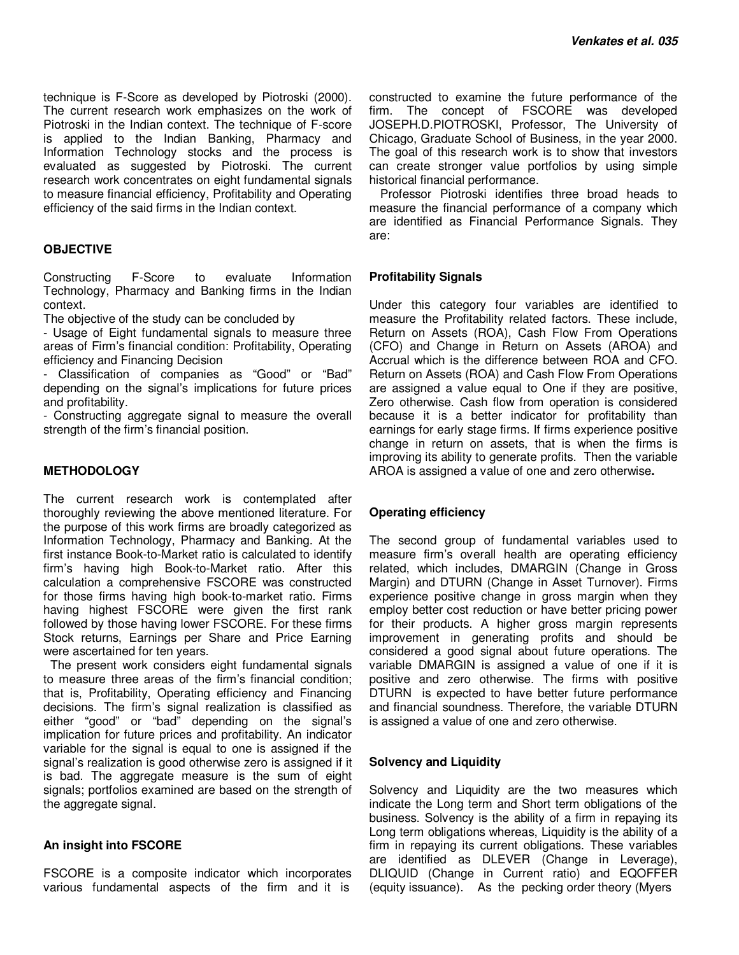technique is F-Score as developed by Piotroski (2000). The current research work emphasizes on the work of Piotroski in the Indian context. The technique of F-score is applied to the Indian Banking, Pharmacy and Information Technology stocks and the process is evaluated as suggested by Piotroski. The current research work concentrates on eight fundamental signals to measure financial efficiency, Profitability and Operating efficiency of the said firms in the Indian context.

#### **OBJECTIVE**

Constructing F-Score to evaluate Information Technology, Pharmacy and Banking firms in the Indian context.

The objective of the study can be concluded by

- Usage of Eight fundamental signals to measure three areas of Firm's financial condition: Profitability, Operating efficiency and Financing Decision

- Classification of companies as "Good" or "Bad" depending on the signal's implications for future prices and profitability.

- Constructing aggregate signal to measure the overall strength of the firm's financial position.

#### **METHODOLOGY**

The current research work is contemplated after thoroughly reviewing the above mentioned literature. For the purpose of this work firms are broadly categorized as Information Technology, Pharmacy and Banking. At the first instance Book-to-Market ratio is calculated to identify firm's having high Book-to-Market ratio. After this calculation a comprehensive FSCORE was constructed for those firms having high book-to-market ratio. Firms having highest FSCORE were given the first rank followed by those having lower FSCORE. For these firms Stock returns, Earnings per Share and Price Earning were ascertained for ten years.

 The present work considers eight fundamental signals to measure three areas of the firm's financial condition; that is, Profitability, Operating efficiency and Financing decisions. The firm's signal realization is classified as either "good" or "bad" depending on the signal's implication for future prices and profitability. An indicator variable for the signal is equal to one is assigned if the signal's realization is good otherwise zero is assigned if it is bad. The aggregate measure is the sum of eight signals; portfolios examined are based on the strength of the aggregate signal.

#### **An insight into FSCORE**

FSCORE is a composite indicator which incorporates various fundamental aspects of the firm and it is

constructed to examine the future performance of the firm. The concept of FSCORE was developed JOSEPH.D.PIOTROSKI, Professor, The University of Chicago, Graduate School of Business, in the year 2000. The goal of this research work is to show that investors can create stronger value portfolios by using simple historical financial performance.

Professor Piotroski identifies three broad heads to measure the financial performance of a company which are identified as Financial Performance Signals. They are:

#### **Profitability Signals**

Under this category four variables are identified to measure the Profitability related factors. These include, Return on Assets (ROA), Cash Flow From Operations (CFO) and Change in Return on Assets (AROA) and Accrual which is the difference between ROA and CFO. Return on Assets (ROA) and Cash Flow From Operations are assigned a value equal to One if they are positive, Zero otherwise. Cash flow from operation is considered because it is a better indicator for profitability than earnings for early stage firms. If firms experience positive change in return on assets, that is when the firms is improving its ability to generate profits. Then the variable AROA is assigned a value of one and zero otherwise**.** 

#### **Operating efficiency**

The second group of fundamental variables used to measure firm's overall health are operating efficiency related, which includes, DMARGIN (Change in Gross Margin) and DTURN (Change in Asset Turnover). Firms experience positive change in gross margin when they employ better cost reduction or have better pricing power for their products. A higher gross margin represents improvement in generating profits and should be considered a good signal about future operations. The variable DMARGIN is assigned a value of one if it is positive and zero otherwise. The firms with positive DTURN is expected to have better future performance and financial soundness. Therefore, the variable DTURN is assigned a value of one and zero otherwise.

#### **Solvency and Liquidity**

Solvency and Liquidity are the two measures which indicate the Long term and Short term obligations of the business. Solvency is the ability of a firm in repaying its Long term obligations whereas, Liquidity is the ability of a firm in repaying its current obligations. These variables are identified as DLEVER (Change in Leverage), DLIQUID (Change in Current ratio) and EQOFFER (equity issuance). As the pecking order theory (Myers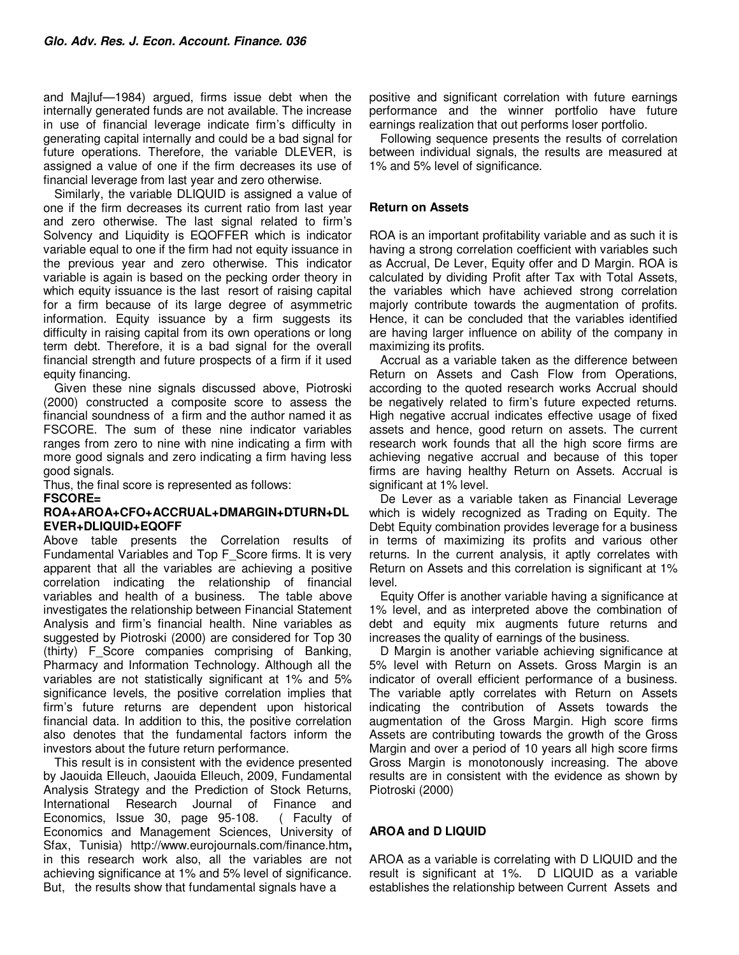and Majluf—1984) argued, firms issue debt when the internally generated funds are not available. The increase in use of financial leverage indicate firm's difficulty in generating capital internally and could be a bad signal for future operations. Therefore, the variable DLEVER, is assigned a value of one if the firm decreases its use of financial leverage from last year and zero otherwise.

Similarly, the variable DLIQUID is assigned a value of one if the firm decreases its current ratio from last year and zero otherwise. The last signal related to firm's Solvency and Liquidity is EQOFFER which is indicator variable equal to one if the firm had not equity issuance in the previous year and zero otherwise. This indicator variable is again is based on the pecking order theory in which equity issuance is the last resort of raising capital for a firm because of its large degree of asymmetric information. Equity issuance by a firm suggests its difficulty in raising capital from its own operations or long term debt. Therefore, it is a bad signal for the overall financial strength and future prospects of a firm if it used equity financing.

Given these nine signals discussed above, Piotroski (2000) constructed a composite score to assess the financial soundness of a firm and the author named it as FSCORE. The sum of these nine indicator variables ranges from zero to nine with nine indicating a firm with more good signals and zero indicating a firm having less good signals.

Thus, the final score is represented as follows:

**FSCORE=** 

#### **ROA+AROA+CFO+ACCRUAL+DMARGIN+DTURN+DL EVER+DLIQUID+EQOFF**

Above table presents the Correlation results of Fundamental Variables and Top F\_Score firms. It is very apparent that all the variables are achieving a positive correlation indicating the relationship of financial variables and health of a business. The table above investigates the relationship between Financial Statement Analysis and firm's financial health. Nine variables as suggested by Piotroski (2000) are considered for Top 30 (thirty) F\_Score companies comprising of Banking, Pharmacy and Information Technology. Although all the variables are not statistically significant at 1% and 5% significance levels, the positive correlation implies that firm's future returns are dependent upon historical financial data. In addition to this, the positive correlation also denotes that the fundamental factors inform the investors about the future return performance.

This result is in consistent with the evidence presented by Jaouida Elleuch, Jaouida Elleuch, 2009, Fundamental Analysis Strategy and the Prediction of Stock Returns, International Research Journal of Finance and Economics, Issue 30, page 95-108. ( Faculty of Economics and Management Sciences, University of Sfax, Tunisia) http://www.eurojournals.com/finance.htm**,**  in this research work also, all the variables are not achieving significance at 1% and 5% level of significance. But, the results show that fundamental signals have a

positive and significant correlation with future earnings performance and the winner portfolio have future earnings realization that out performs loser portfolio.

Following sequence presents the results of correlation between individual signals, the results are measured at 1% and 5% level of significance.

# **Return on Assets**

ROA is an important profitability variable and as such it is having a strong correlation coefficient with variables such as Accrual, De Lever, Equity offer and D Margin. ROA is calculated by dividing Profit after Tax with Total Assets, the variables which have achieved strong correlation majorly contribute towards the augmentation of profits. Hence, it can be concluded that the variables identified are having larger influence on ability of the company in maximizing its profits.

Accrual as a variable taken as the difference between Return on Assets and Cash Flow from Operations, according to the quoted research works Accrual should be negatively related to firm's future expected returns. High negative accrual indicates effective usage of fixed assets and hence, good return on assets. The current research work founds that all the high score firms are achieving negative accrual and because of this toper firms are having healthy Return on Assets. Accrual is significant at 1% level.

De Lever as a variable taken as Financial Leverage which is widely recognized as Trading on Equity. The Debt Equity combination provides leverage for a business in terms of maximizing its profits and various other returns. In the current analysis, it aptly correlates with Return on Assets and this correlation is significant at 1% level.

Equity Offer is another variable having a significance at 1% level, and as interpreted above the combination of debt and equity mix augments future returns and increases the quality of earnings of the business.

D Margin is another variable achieving significance at 5% level with Return on Assets. Gross Margin is an indicator of overall efficient performance of a business. The variable aptly correlates with Return on Assets indicating the contribution of Assets towards the augmentation of the Gross Margin. High score firms Assets are contributing towards the growth of the Gross Margin and over a period of 10 years all high score firms Gross Margin is monotonously increasing. The above results are in consistent with the evidence as shown by Piotroski (2000)

# **AROA and D LIQUID**

AROA as a variable is correlating with D LIQUID and the result is significant at 1%. D LIQUID as a variable establishes the relationship between Current Assets and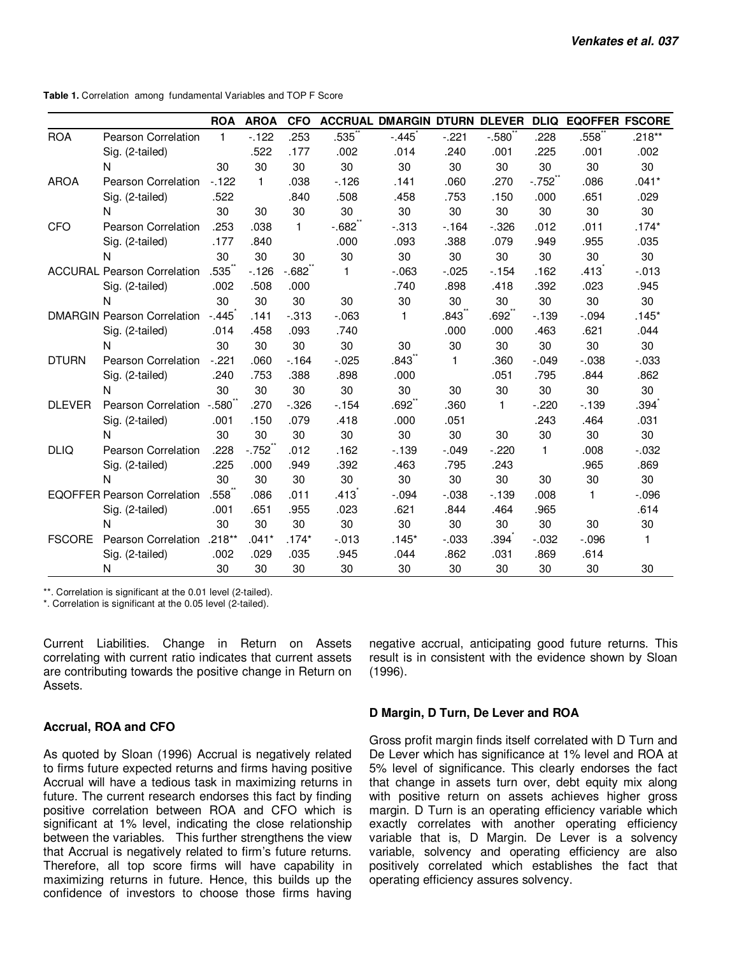**Table 1.** Correlation among fundamental Variables and TOP F Score

|               |                                    | <b>ROA</b>   | <b>AROA</b>  | <b>CFO</b>   |              | <b>ACCRUAL DMARGIN DTURN DLEVER</b> |              |                   | <b>DLIQ</b>  | <b>EQOFFER FSCORE</b> |              |
|---------------|------------------------------------|--------------|--------------|--------------|--------------|-------------------------------------|--------------|-------------------|--------------|-----------------------|--------------|
| <b>ROA</b>    | Pearson Correlation                | $\mathbf{1}$ | $-122$       | .253         | .535         | $-.445$                             | $-.221$      | $-.580$           | .228         | .558                  | $.218**$     |
|               | Sig. (2-tailed)                    |              | .522         | .177         | .002         | .014                                | .240         | .001              | .225         | .001                  | .002         |
|               | N                                  | 30           | 30           | 30           | 30           | 30                                  | 30           | 30                | 30           | 30                    | 30           |
| <b>AROA</b>   | Pearson Correlation                | $-122$       | $\mathbf{1}$ | .038         | $-126$       | .141                                | .060         | .270              | $-.752$      | .086                  | $.041*$      |
|               | Sig. (2-tailed)                    | .522         |              | .840         | .508         | .458                                | .753         | .150              | .000         | .651                  | .029         |
|               | N                                  | 30           | 30           | 30           | 30           | 30                                  | 30           | 30                | 30           | 30                    | 30           |
| <b>CFO</b>    | Pearson Correlation                | .253         | .038         | $\mathbf{1}$ | $-0.682$     | $-0.313$                            | $-164$       | $-.326$           | .012         | .011                  | $.174*$      |
|               | Sig. (2-tailed)                    | .177         | .840         |              | .000         | .093                                | .388         | .079              | .949         | .955                  | .035         |
|               | N                                  | 30           | 30           | 30           | 30           | 30                                  | 30           | 30                | 30           | 30                    | 30           |
|               | <b>ACCURAL Pearson Correlation</b> | .535         | $-126$       | $-682$       | $\mathbf{1}$ | $-063$                              | $-0.025$     | $-154$            | .162         | .413                  | $-0.013$     |
|               | Sig. (2-tailed)                    | .002         | .508         | .000         |              | .740                                | .898         | .418              | .392         | .023                  | .945         |
|               | N                                  | 30           | 30           | 30           | 30           | 30                                  | 30           | 30                | 30           | 30                    | 30           |
|               | <b>DMARGIN Pearson Correlation</b> | $-445$       | .141         | $-0.313$     | $-.063$      | 1                                   | .843ຶ        | .692 <sup>°</sup> | $-139$       | $-.094$               | $.145*$      |
|               | Sig. (2-tailed)                    | .014         | .458         | .093         | .740         |                                     | .000         | .000              | .463         | .621                  | .044         |
|               | N                                  | 30           | 30           | 30           | 30           | 30                                  | 30           | 30                | 30           | 30                    | 30           |
| <b>DTURN</b>  | Pearson Correlation                | $-.221$      | .060         | $-164$       | $-0.025$     | .843 <sup>°</sup>                   | $\mathbf{1}$ | .360              | $-.049$      | $-0.038$              | $-0.033$     |
|               | Sig. (2-tailed)                    | .240         | .753         | .388         | .898         | .000                                |              | .051              | .795         | .844                  | .862         |
|               | N                                  | 30           | 30           | 30           | 30           | 30                                  | 30           | 30                | 30           | 30                    | 30           |
| <b>DLEVER</b> | Pearson Correlation -.580          |              | .270         | $-0.326$     | $-154$       | .692 <sup>°</sup>                   | .360         | $\mathbf{1}$      | $-.220$      | $-139$                | .394         |
|               | Sig. (2-tailed)                    | .001         | .150         | .079         | .418         | .000                                | .051         |                   | .243         | .464                  | .031         |
|               | N                                  | 30           | 30           | 30           | 30           | 30                                  | 30           | 30                | 30           | 30                    | 30           |
| <b>DLIQ</b>   | Pearson Correlation                | .228         | $-.752$      | .012         | .162         | $-139$                              | $-.049$      | $-.220$           | $\mathbf{1}$ | .008                  | $-0.032$     |
|               | Sig. (2-tailed)                    | .225         | .000         | .949         | .392         | .463                                | .795         | .243              |              | .965                  | .869         |
|               | N                                  | 30           | 30           | 30           | 30           | 30                                  | 30           | 30                | 30           | 30                    | 30           |
|               | <b>EQOFFER Pearson Correlation</b> | .558         | .086         | .011         | .413         | $-0.94$                             | $-0.038$     | $-139$            | .008         | $\mathbf{1}$          | $-0.096$     |
|               | Sig. (2-tailed)                    | .001         | .651         | .955         | .023         | .621                                | .844         | .464              | .965         |                       | .614         |
|               | $\mathsf{N}$                       | 30           | 30           | 30           | 30           | 30                                  | 30           | 30                | 30           | 30                    | 30           |
| <b>FSCORE</b> | <b>Pearson Correlation</b>         | $.218**$     | $.041*$      | $.174*$      | $-0.013$     | $.145*$                             | $-.033$      | .394              | $-0.032$     | $-0.096$              | $\mathbf{1}$ |
|               | Sig. (2-tailed)                    | .002         | .029         | .035         | .945         | .044                                | .862         | .031              | .869         | .614                  |              |
|               | N                                  | 30           | 30           | 30           | 30           | 30                                  | 30           | 30                | 30           | 30                    | 30           |

\*\*. Correlation is significant at the 0.01 level (2-tailed).

\*. Correlation is significant at the 0.05 level (2-tailed).

Current Liabilities. Change in Return on Assets correlating with current ratio indicates that current assets are contributing towards the positive change in Return on Assets.

#### **Accrual, ROA and CFO**

As quoted by Sloan (1996) Accrual is negatively related to firms future expected returns and firms having positive Accrual will have a tedious task in maximizing returns in future. The current research endorses this fact by finding positive correlation between ROA and CFO which is significant at 1% level, indicating the close relationship between the variables. This further strengthens the view that Accrual is negatively related to firm's future returns. Therefore, all top score firms will have capability in maximizing returns in future. Hence, this builds up the confidence of investors to choose those firms having

negative accrual, anticipating good future returns. This result is in consistent with the evidence shown by Sloan (1996).

#### **D Margin, D Turn, De Lever and ROA**

Gross profit margin finds itself correlated with D Turn and De Lever which has significance at 1% level and ROA at 5% level of significance. This clearly endorses the fact that change in assets turn over, debt equity mix along with positive return on assets achieves higher gross margin. D Turn is an operating efficiency variable which exactly correlates with another operating efficiency variable that is, D Margin. De Lever is a solvency variable, solvency and operating efficiency are also positively correlated which establishes the fact that operating efficiency assures solvency.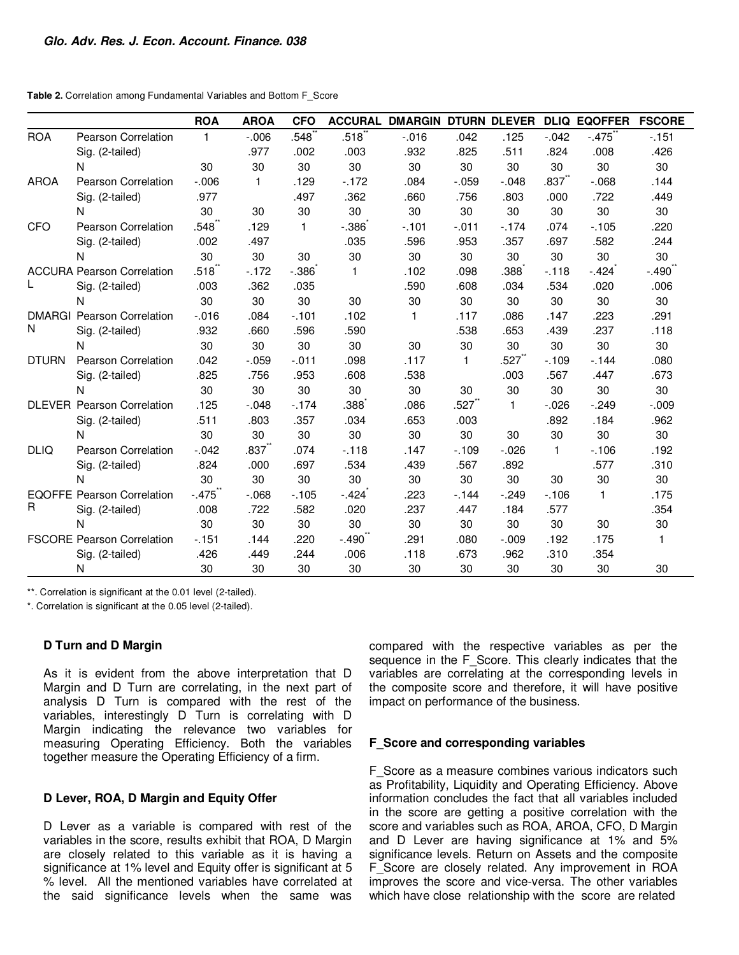**Table 2.** Correlation among Fundamental Variables and Bottom F\_Score

|                    |                                   | <b>ROA</b>       | <b>AROA</b>       | <b>CFO</b>   | <b>ACCURAL</b> | <b>DMARGIN DTURN DLEVER</b> |              |              |              | <b>DLIQ EQOFFER</b> | <b>FSCORE</b> |
|--------------------|-----------------------------------|------------------|-------------------|--------------|----------------|-----------------------------|--------------|--------------|--------------|---------------------|---------------|
| <b>ROA</b>         | <b>Pearson Correlation</b>        | $\mathbf{1}$     | $-0.006$          | .548         | .518           | $-0.016$                    | .042         | .125         | $-.042$      | $-.475$             | $-151$        |
|                    | Sig. (2-tailed)                   |                  | .977              | .002         | .003           | .932                        | .825         | .511         | .824         | .008                | .426          |
|                    | N                                 | 30               | 30                | 30           | 30             | 30                          | 30           | 30           | 30           | 30                  | 30            |
| <b>AROA</b>        | <b>Pearson Correlation</b>        | $-0.06$          | $\mathbf{1}$      | .129         | $-172$         | .084                        | $-.059$      | $-.048$      | $.837^{''}$  | $-068$              | .144          |
|                    | Sig. (2-tailed)                   | .977             |                   | .497         | .362           | .660                        | .756         | .803         | .000         | .722                | .449          |
|                    | N                                 | 30               | 30                | 30           | 30             | 30                          | 30           | 30           | 30           | 30                  | 30            |
| <b>CFO</b>         | <b>Pearson Correlation</b>        | $.548^{\degree}$ | .129              | $\mathbf{1}$ | $-.386$        | $-101$                      | $-.011$      | $-.174$      | .074         | $-105$              | .220          |
|                    | Sig. (2-tailed)                   | .002             | .497              |              | .035           | .596                        | .953         | .357         | .697         | .582                | .244          |
|                    | N                                 | 30               | 30                | 30           | 30             | 30                          | 30           | 30           | 30           | 30                  | 30            |
|                    | <b>ACCURA Pearson Correlation</b> | .518             | $-172$            | $-.386$      | $\mathbf{1}$   | .102                        | .098         | .388         | $-118$       | $-.424$             | $-.490$       |
|                    | Sig. (2-tailed)                   | .003             | .362              | .035         |                | .590                        | .608         | .034         | .534         | .020                | .006          |
|                    | N                                 | 30               | 30                | 30           | 30             | 30                          | 30           | 30           | 30           | 30                  | 30            |
| <b>DMARGI</b><br>N | <b>Pearson Correlation</b>        | $-.016$          | .084              | $-101$       | .102           | $\mathbf{1}$                | .117         | .086         | .147         | .223                | .291          |
|                    | Sig. (2-tailed)                   | .932             | .660              | .596         | .590           |                             | .538         | .653         | .439         | .237                | .118          |
|                    | N                                 | 30               | 30                | 30           | 30             | 30                          | 30           | 30           | 30           | 30                  | 30            |
| <b>DTURN</b>       | Pearson Correlation               | .042             | $-.059$           | $-.011$      | .098           | .117                        | $\mathbf{1}$ | .527゛        | $-109$       | $-144$              | .080          |
|                    | Sig. (2-tailed)                   | .825             | .756              | .953         | .608           | .538                        |              | .003         | .567         | .447                | .673          |
|                    | N                                 | 30               | 30                | 30           | 30             | 30                          | 30           | 30           | 30           | 30                  | 30            |
|                    | <b>DLEVER Pearson Correlation</b> | .125             | $-.048$           | $-174$       | .388           | .086                        | .527         | $\mathbf{1}$ | $-.026$      | $-249$              | $-.009$       |
|                    | Sig. (2-tailed)                   | .511             | .803              | .357         | .034           | .653                        | .003         |              | .892         | .184                | .962          |
|                    | N                                 | 30               | 30                | 30           | 30             | 30                          | 30           | 30           | 30           | 30                  | 30            |
| <b>DLIQ</b>        | <b>Pearson Correlation</b>        | $-.042$          | .837 <sup>°</sup> | .074         | $-.118$        | .147                        | $-109$       | $-.026$      | $\mathbf{1}$ | $-106$              | .192          |
|                    | Sig. (2-tailed)                   | .824             | .000              | .697         | .534           | .439                        | .567         | .892         |              | .577                | .310          |
|                    | N                                 | 30               | 30                | 30           | 30             | 30                          | 30           | 30           | 30           | 30                  | 30            |
| R                  | <b>EQOFFE Pearson Correlation</b> | $-.475$          | $-068$            | $-105$       | $-.424$        | .223                        | $-144$       | $-.249$      | $-106$       | $\mathbf{1}$        | .175          |
|                    | Sig. (2-tailed)                   | .008             | .722              | .582         | .020           | .237                        | .447         | .184         | .577         |                     | .354          |
|                    | N                                 | 30               | 30                | 30           | 30             | 30                          | 30           | 30           | 30           | 30                  | 30            |
|                    | <b>FSCORE Pearson Correlation</b> | $-151$           | .144              | .220         | $-.490°$       | .291                        | .080         | $-.009$      | .192         | .175                | $\mathbf{1}$  |
|                    | Sig. (2-tailed)                   | .426             | .449              | .244         | .006           | .118                        | .673         | .962         | .310         | .354                |               |
|                    | N                                 | 30               | 30                | 30           | 30             | 30                          | 30           | 30           | 30           | 30                  | 30            |

\*\*. Correlation is significant at the 0.01 level (2-tailed).

\*. Correlation is significant at the 0.05 level (2-tailed).

#### **D Turn and D Margin**

As it is evident from the above interpretation that D Margin and D Turn are correlating, in the next part of analysis D Turn is compared with the rest of the variables, interestingly D Turn is correlating with D Margin indicating the relevance two variables for measuring Operating Efficiency. Both the variables together measure the Operating Efficiency of a firm.

#### **D Lever, ROA, D Margin and Equity Offer**

D Lever as a variable is compared with rest of the variables in the score, results exhibit that ROA, D Margin are closely related to this variable as it is having a significance at 1% level and Equity offer is significant at 5 % level. All the mentioned variables have correlated at the said significance levels when the same was

compared with the respective variables as per the sequence in the F\_Score. This clearly indicates that the variables are correlating at the corresponding levels in the composite score and therefore, it will have positive impact on performance of the business.

#### **F\_Score and corresponding variables**

F Score as a measure combines various indicators such as Profitability, Liquidity and Operating Efficiency. Above information concludes the fact that all variables included in the score are getting a positive correlation with the score and variables such as ROA, AROA, CFO, D Margin and D Lever are having significance at 1% and 5% significance levels. Return on Assets and the composite F Score are closely related. Any improvement in ROA improves the score and vice-versa. The other variables which have close relationship with the score are related